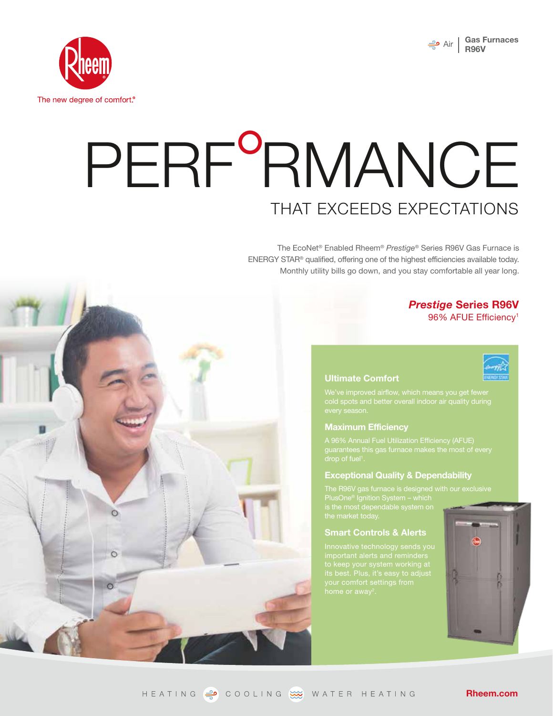

 $\circ$ 



# THAT EXCEEDS EXPECTATIONS PERF<sup>o</sup>RMANCE

The EcoNet® Enabled Rheem® *Prestige*® Series R96V Gas Furnace is ENERGY STAR® qualified, offering one of the highest efficiencies available today. Monthly utility bills go down, and you stay comfortable all year long.

## *Prestige* **Series R96V** 96% AFUE Efficiency1

#### **Ultimate Comfort**



#### **Maximum Efficiency**

#### **Exceptional Quality & Dependability**

#### **Smart Controls & Alerts**



HEATING  $\Rightarrow$  COOLING  $\overline{\cdots}$  WATER HEATING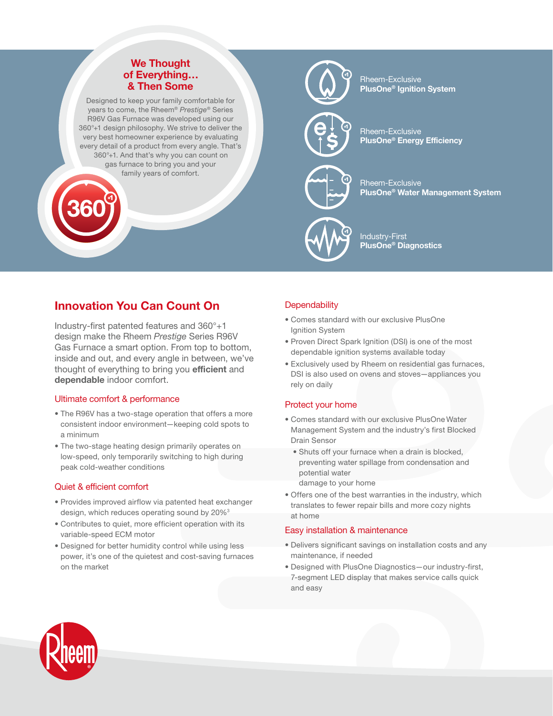## **We Thought of Everything… & Then Some**

Designed to keep your family comfortable for years to come, the Rheem® *Prestige*® Series R96V Gas Furnace was developed using our 360°+1 design philosophy. We strive to deliver the very best homeowner experience by evaluating every detail of a product from every angle. That's 360°+1. And that's why you can count on gas furnace to bring you and your family years of comfort.



Rheem-Exclusive **PlusOne® Ignition System**

Rheem-Exclusive **PlusOne® Energy Efficiency**



Rheem-Exclusive **PlusOne® Water Management System**



Industry-First **PlusOne® Diagnostics**

# **Innovation You Can Count On**

Industry-first patented features and 360°+1 design make the Rheem *Prestige* Series R96V Gas Furnace a smart option. From top to bottom, inside and out, and every angle in between, we've thought of everything to bring you **efficient** and **dependable** indoor comfort.

## Ultimate comfort & performance

- The R96V has a two-stage operation that offers a more consistent indoor environment—keeping cold spots to a minimum
- The two-stage heating design primarily operates on low-speed, only temporarily switching to high during peak cold-weather conditions

## Quiet & efficient comfort

- Provides improved airflow via patented heat exchanger design, which reduces operating sound by 20%3
- Contributes to quiet, more efficient operation with its variable-speed ECM motor
- Designed for better humidity control while using less power, it's one of the quietest and cost-saving furnaces on the market

## **Dependability**

- Comes standard with our exclusive PlusOne Ignition System
- Proven Direct Spark Ignition (DSI) is one of the most dependable ignition systems available today
- Exclusively used by Rheem on residential gas furnaces, DSI is also used on ovens and stoves—appliances you rely on daily

#### Protect your home

- Comes standard with our exclusive PlusOne Water Management System and the industry's first Blocked Drain Sensor
	- Shuts off your furnace when a drain is blocked, preventing water spillage from condensation and potential water

damage to your home

• Offers one of the best warranties in the industry, which translates to fewer repair bills and more cozy nights at home

#### Easy installation & maintenance

- Delivers significant savings on installation costs and any maintenance, if needed
- Designed with PlusOne Diagnostics—our industry-first, 7-segment LED display that makes service calls quick and easy

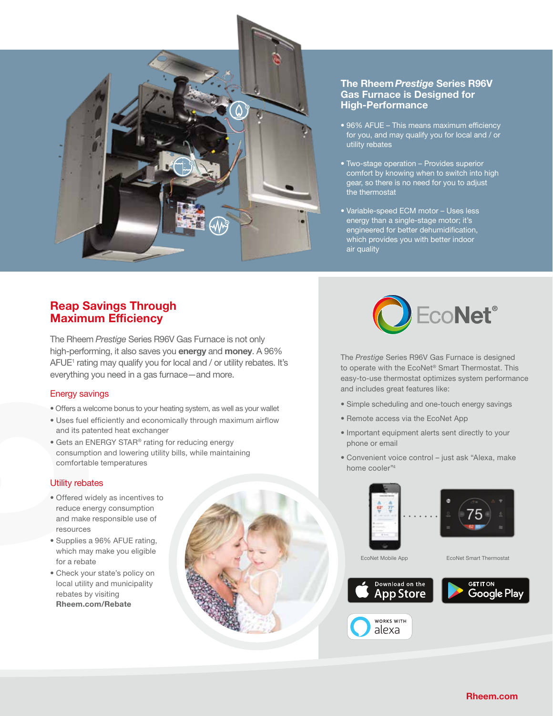

## **The Rheem Prestige Series R96V Gas Furnace is Designed for High-Performance**

- 96% AFUE This means maximum efficiency for you, and may qualify you for local and / or utility rebates
- Two-stage operation Provides superior comfort by knowing when to switch into high gear, so there is no need for you to adjust the thermostat
- Variable-speed ECM motor Uses less energy than a single-stage motor; it's engineered for better dehumidification, which provides you with better indoor air quality

## **Reap Savings Through Maximum Efficiency**

The Rheem *Prestige* Series R96V Gas Furnace is not only high-performing, it also saves you **energy** and **money**. A 96% AFUE<sup>1</sup> rating may qualify you for local and / or utility rebates. It's everything you need in a gas furnace—and more.

## Energy savings

- Offers a welcome bonus to your heating system, as well as your wallet
- Uses fuel efficiently and economically through maximum airflow and its patented heat exchanger
- Gets an ENERGY STAR® rating for reducing energy consumption and lowering utility bills, while maintaining comfortable temperatures

## Utility rebates

- Offered widely as incentives to reduce energy consumption and make responsible use of resources
- Supplies a 96% AFUE rating, which may make you eligible for a rebate
- Check your state's policy on local utility and municipality rebates by visiting **Rheem.com/Rebate**





The *Prestige* Series R96V Gas Furnace is designed to operate with the EcoNet® Smart Thermostat. This easy-to-use thermostat optimizes system performance and includes great features like:

- Simple scheduling and one-touch energy savings
- Remote access via the EcoNet App
- Important equipment alerts sent directly to your phone or email
- Convenient voice control just ask "Alexa, make home cooler"4



WORKS WITH alexa



EcoNet Mobile App **EcoNet Smart Thermostat**